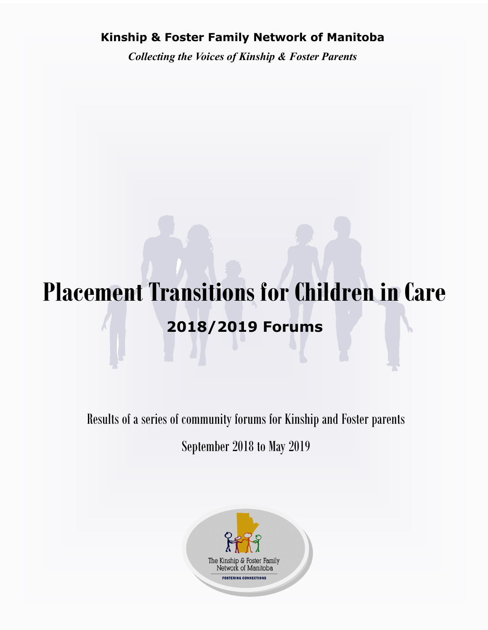## **Kinship & Foster Family Network of Manitoba**

*Collecting the Voices of Kinship & Foster Parents*

# **Placement Transitions for Children in Care 2018/2019 Forums**

Results of a series of community forums for Kinship and Foster parents September 2018 to May 2019

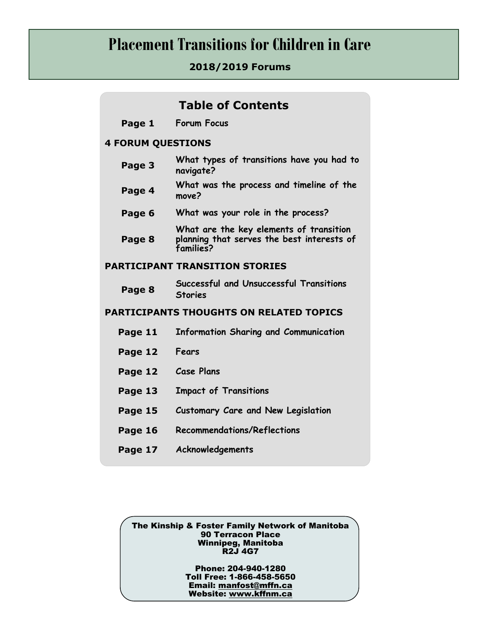# **Placement Transitions for Children in Care**

#### **2018/2019 Forums**

| <b>Table of Contents</b>                       |                                                                                                    |
|------------------------------------------------|----------------------------------------------------------------------------------------------------|
| Page 1                                         | <b>Forum Focus</b>                                                                                 |
| <b>4 FORUM QUESTIONS</b>                       |                                                                                                    |
| Page 3                                         | What types of transitions have you had to<br>navigate?                                             |
| Page 4                                         | What was the process and timeline of the<br>move?                                                  |
| Page 6                                         | What was your role in the process?                                                                 |
| Page 8                                         | What are the key elements of transition<br>planning that serves the best interests of<br>families? |
| <b>PARTICIPANT TRANSITION STORIES</b>          |                                                                                                    |
| Page 8                                         | Successful and Unsuccessful Transitions<br><b>Stories</b>                                          |
| <b>PARTICIPANTS THOUGHTS ON RELATED TOPICS</b> |                                                                                                    |
| Page 11                                        | <b>Information Sharing and Communication</b>                                                       |
| Page 12                                        | Fears                                                                                              |
| Page 12                                        | <b>Case Plans</b>                                                                                  |
| Page 13                                        | <b>Impact of Transitions</b>                                                                       |
| Page 15                                        | <b>Customary Care and New Legislation</b>                                                          |
| Page 16                                        | <b>Recommendations/Reflections</b>                                                                 |
| Page 17                                        | Acknowledgements                                                                                   |

The Kinship & Foster Family Network of Manitoba 90 Terracon Place Winnipeg, Manitoba R2J 4G7

> Phone: 204-940-1280 Toll Free: 1-866-458-5650 Email: [manfost@mffn.ca](mailto:manfost@mffn.ca) Website: [www.kffnm.ca](http://www.kffnm.ca)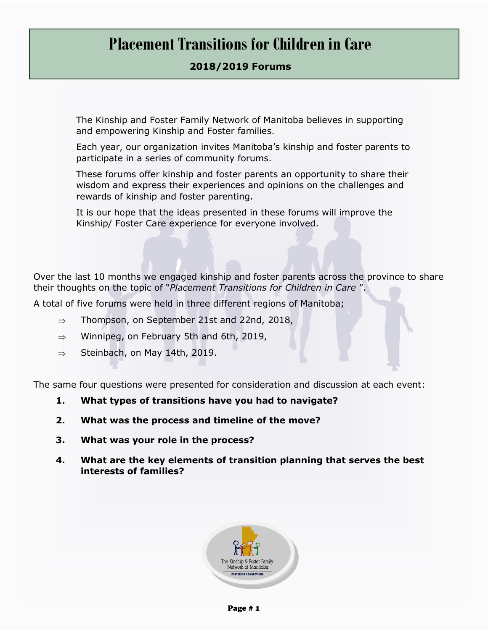# **Placement Transitions for Children in Care**

#### **2018/2019 Forums**

The Kinship and Foster Family Network of Manitoba believes in supporting and empowering Kinship and Foster families.

Each year, our organization invites Manitoba's kinship and foster parents to participate in a series of community forums.

These forums offer kinship and foster parents an opportunity to share their wisdom and express their experiences and opinions on the challenges and rewards of kinship and foster parenting.

It is our hope that the ideas presented in these forums will improve the Kinship/ Foster Care experience for everyone involved.

Over the last 10 months we engaged kinship and foster parents across the province to share their thoughts on the topic of "*Placement Transitions for Children in Care* ".

A total of five forums were held in three different regions of Manitoba;

- $\Rightarrow$  Thompson, on September 21st and 22nd, 2018,
- $\Rightarrow$  Winnipeg, on February 5th and 6th, 2019,
- $\Rightarrow$  Steinbach, on May 14th, 2019.

The same four questions were presented for consideration and discussion at each event:

- **1. What types of transitions have you had to navigate?**
- **2. What was the process and timeline of the move?**
- **3. What was your role in the process?**
- **4. What are the key elements of transition planning that serves the best interests of families?**

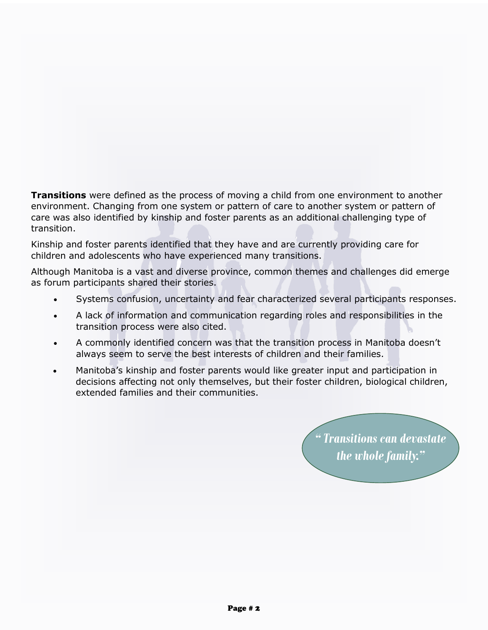**Transitions** were defined as the process of moving a child from one environment to another environment. Changing from one system or pattern of care to another system or pattern of care was also identified by kinship and foster parents as an additional challenging type of transition.

Kinship and foster parents identified that they have and are currently providing care for children and adolescents who have experienced many transitions.

Although Manitoba is a vast and diverse province, common themes and challenges did emerge as forum participants shared their stories.

- Systems confusion, uncertainty and fear characterized several participants responses.
- A lack of information and communication regarding roles and responsibilities in the transition process were also cited.
- A commonly identified concern was that the transition process in Manitoba doesn't always seem to serve the best interests of children and their families.
- Manitoba's kinship and foster parents would like greater input and participation in decisions affecting not only themselves, but their foster children, biological children, extended families and their communities.

*" Transitions can devastate the whole family."*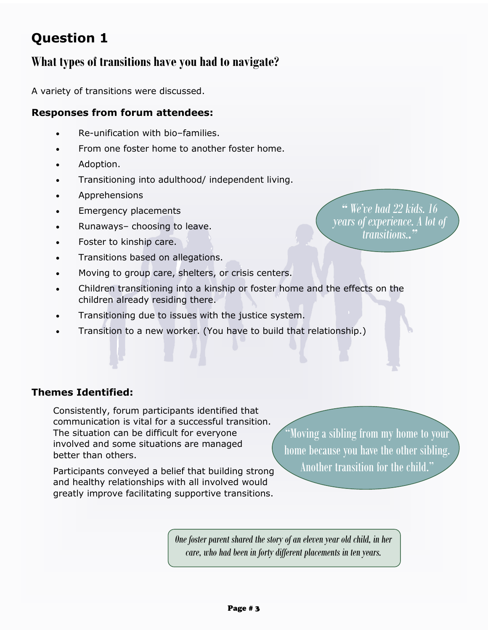# **Question 1**

## **What types of transitions have you had to navigate?**

A variety of transitions were discussed.

#### **Responses from forum attendees:**

- Re-unification with bio–families.
- From one foster home to another foster home.
- Adoption.
- Transitioning into adulthood/ independent living.
- Apprehensions
- Emergency placements
- Runaways– choosing to leave.
- Foster to kinship care.
- Transitions based on allegations.
- Moving to group care, shelters, or crisis centers.
- Children transitioning into a kinship or foster home and the effects on the children already residing there.
- Transitioning due to issues with the justice system.
- Transition to a new worker. (You have to build that relationship.)

**Themes Identified:**

Consistently, forum participants identified that communication is vital for a successful transition. The situation can be difficult for everyone involved and some situations are managed better than others.

Participants conveyed a belief that building strong and healthy relationships with all involved would greatly improve facilitating supportive transitions.

"Moving a sibling from my home to your home because you have the other sibling. Another transition for the child."

*One foster parent shared the story of an eleven year old child, in her care, who had been in forty different placements in ten years.*

*" We've had 22 kids. 16 years of experience. A lot of transitions.."*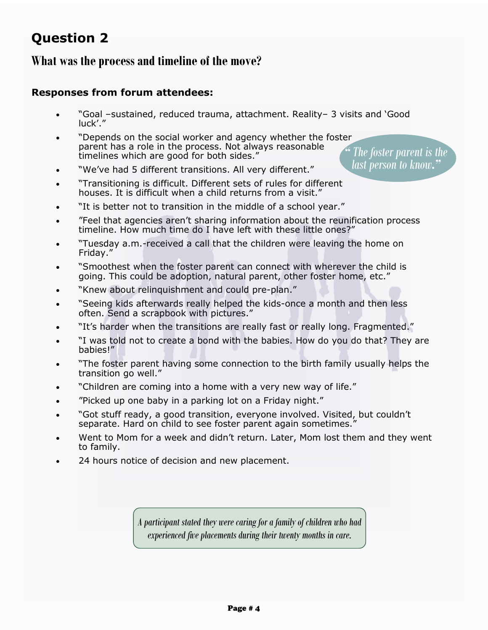# **Question 2**

## **What was the process and timeline of the move?**

#### **Responses from forum attendees:**

- "Goal –sustained, reduced trauma, attachment. Reality– 3 visits and 'Good luck'."
- "Depends on the social worker and agency whether the foster parent has a role in the process. Not always reasonable timelines which are good for both sides." *" The foster parent is the last person to know."*
- "We've had 5 different transitions. All very different."
- "Transitioning is difficult. Different sets of rules for different houses. It is difficult when a child returns from a visit."
- "It is better not to transition in the middle of a school year."
- "Feel that agencies aren't sharing information about the reunification process timeline. How much time do I have left with these little ones?"
- "Tuesday a.m.-received a call that the children were leaving the home on Friday."
- "Smoothest when the foster parent can connect with wherever the child is going. This could be adoption, natural parent, other foster home, etc."
- "Knew about relinquishment and could pre-plan."
- "Seeing kids afterwards really helped the kids-once a month and then less often. Send a scrapbook with pictures."
- "It's harder when the transitions are really fast or really long. Fragmented."
- "I was told not to create a bond with the babies. How do you do that? They are babies!"
- "The foster parent having some connection to the birth family usually helps the transition go well."
- "Children are coming into a home with a very new way of life."
- "Picked up one baby in a parking lot on a Friday night."
- "Got stuff ready, a good transition, everyone involved. Visited, but couldn't separate. Hard on child to see foster parent again sometimes."
- Went to Mom for a week and didn't return. Later, Mom lost them and they went to family.
- 24 hours notice of decision and new placement.

*A participant stated they were caring for a family of children who had experienced five placements during their twenty months in care.*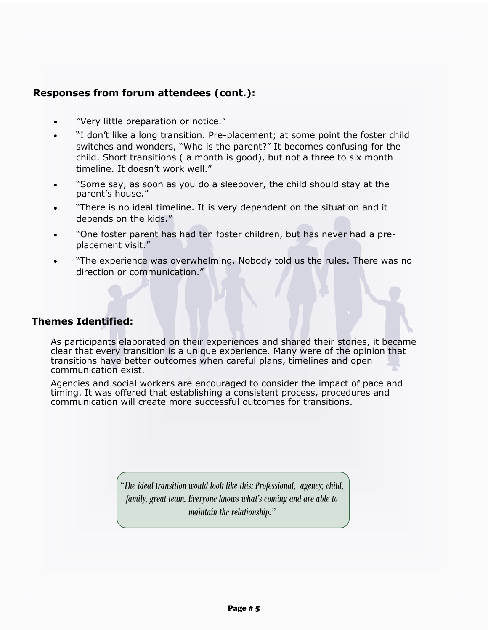#### **Responses from forum attendees (cont.):**

- "Very little preparation or notice."
- "I don't like a long transition. Pre-placement; at some point the foster child switches and wonders, "Who is the parent?" It becomes confusing for the child. Short transitions ( a month is good), but not a three to six month timeline. It doesn't work well."
- "Some say, as soon as you do a sleepover, the child should stay at the parent's house."
- "There is no ideal timeline. It is very dependent on the situation and it depends on the kids."
- "One foster parent has had ten foster children, but has never had a preplacement visit."
- "The experience was overwhelming. Nobody told us the rules. There was no direction or communication."

#### **Themes Identified:**

As participants elaborated on their experiences and shared their stories, it became clear that every transition is a unique experience. Many were of the opinion that transitions have better outcomes when careful plans, timelines and open communication exist.

Agencies and social workers are encouraged to consider the impact of pace and timing. It was offered that establishing a consistent process, procedures and communication will create more successful outcomes for transitions.

> *"The ideal transition would look like this; Professional, agency, child, family, great team. Everyone knows what's coming and are able to maintain the relationship."*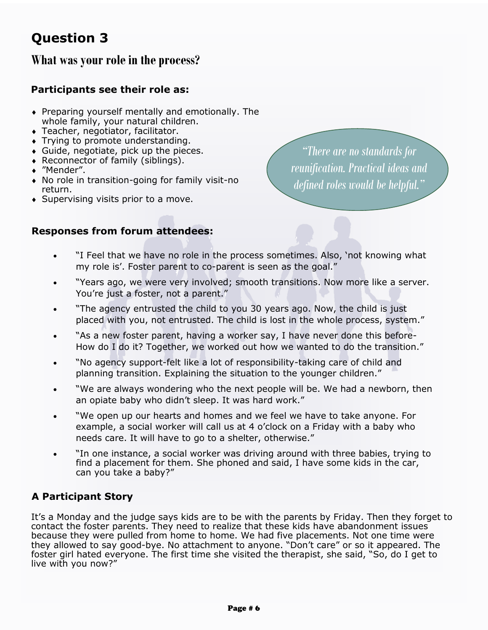# **Question 3**

## **What was your role in the process?**

#### **Participants see their role as:**

- Preparing yourself mentally and emotionally. The whole family, your natural children.
- Teacher, negotiator, facilitator.
- Trying to promote understanding.
- Guide, negotiate, pick up the pieces.
- Reconnector of family (siblings).
- ◆ "Mender".
- No role in transition-going for family visit-no return.
- ◆ Supervising visits prior to a move.

*"There are no standards for reunification. Practical ideas and defined roles would be helpful."*

#### **Responses from forum attendees:**

- "I Feel that we have no role in the process sometimes. Also, 'not knowing what my role is'. Foster parent to co-parent is seen as the goal."
- "Years ago, we were very involved; smooth transitions. Now more like a server. You're just a foster, not a parent."
- "The agency entrusted the child to you 30 years ago. Now, the child is just placed with you, not entrusted. The child is lost in the whole process, system."
- "As a new foster parent, having a worker say, I have never done this before-How do I do it? Together, we worked out how we wanted to do the transition."
- "No agency support-felt like a lot of responsibility-taking care of child and planning transition. Explaining the situation to the younger children."
- "We are always wondering who the next people will be. We had a newborn, then an opiate baby who didn't sleep. It was hard work."
- "We open up our hearts and homes and we feel we have to take anyone. For example, a social worker will call us at 4 o'clock on a Friday with a baby who needs care. It will have to go to a shelter, otherwise."
- "In one instance, a social worker was driving around with three babies, trying to find a placement for them. She phoned and said, I have some kids in the car, can you take a baby?"

#### **A Participant Story**

It's a Monday and the judge says kids are to be with the parents by Friday. Then they forget to contact the foster parents. They need to realize that these kids have abandonment issues because they were pulled from home to home. We had five placements. Not one time were they allowed to say good-bye. No attachment to anyone. "Don't care" or so it appeared. The foster girl hated everyone. The first time she visited the therapist, she said, "So, do I get to live with you now?"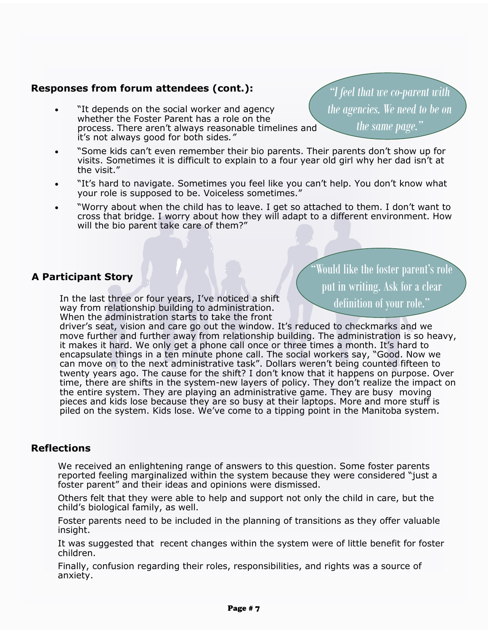#### **Responses from forum attendees (cont.):**

- "It depends on the social worker and agency whether the Foster Parent has a role on the process. There aren't always reasonable timelines and it's not always good for both sides*."*
- "Some kids can't even remember their bio parents. Their parents don't show up for visits. Sometimes it is difficult to explain to a four year old girl why her dad isn't at the visit."
- "It's hard to navigate. Sometimes you feel like you can't help. You don't know what your role is supposed to be. Voiceless sometimes."
- "Worry about when the child has to leave. I get so attached to them. I don't want to cross that bridge. I worry about how they will adapt to a different environment. How will the bio parent take care of them?"

#### **A Participant Story**

In the last three or four years, I've noticed a shift way from relationship building to administration. When the administration starts to take the front

Would like the foster parent's role put in writing. Ask for a clear definition of your role."

driver's seat, vision and care go out the window. It's reduced to checkmarks and we move further and further away from relationship building. The administration is so heavy, it makes it hard. We only get a phone call once or three times a month. It's hard to encapsulate things in a ten minute phone call. The social workers say, "Good. Now we can move on to the next administrative task". Dollars weren't being counted fifteen to twenty years ago. The cause for the shift? I don't know that it happens on purpose. Over time, there are shifts in the system-new layers of policy. They don't realize the impact on the entire system. They are playing an administrative game. They are busy moving pieces and kids lose because they are so busy at their laptops. More and more stuff is piled on the system. Kids lose. We've come to a tipping point in the Manitoba system.

#### **Reflections**

We received an enlightening range of answers to this question. Some foster parents reported feeling marginalized within the system because they were considered "just a foster parent" and their ideas and opinions were dismissed.

Others felt that they were able to help and support not only the child in care, but the child's biological family, as well.

Foster parents need to be included in the planning of transitions as they offer valuable insight.

It was suggested that recent changes within the system were of little benefit for foster children.

Finally, confusion regarding their roles, responsibilities, and rights was a source of anxiety.

*"I feel that we co-parent with the agencies. We need to be on the same page."*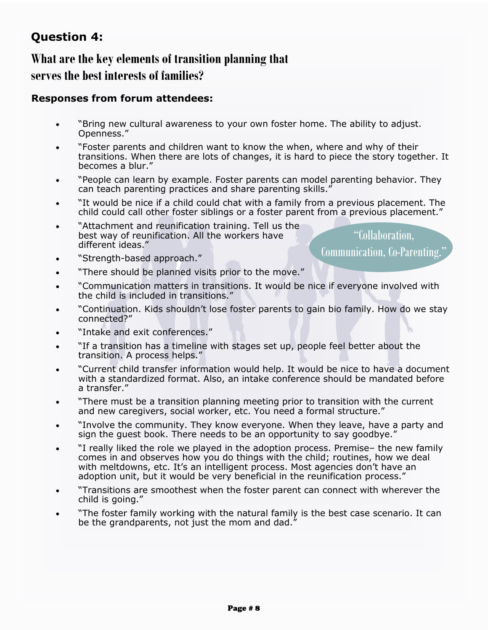# **Question 4:**

# **What are the key elements of transition planning that serves the best interests of families?**

#### **Responses from forum attendees:**

- "Bring new cultural awareness to your own foster home. The ability to adjust. Openness."
- "Foster parents and children want to know the when, where and why of their transitions. When there are lots of changes, it is hard to piece the story together. It becomes a blur."
- "People can learn by example. Foster parents can model parenting behavior. They can teach parenting practices and share parenting skills."
- "It would be nice if a child could chat with a family from a previous placement. The child could call other foster siblings or a foster parent from a previous placement."
- "Attachment and reunification training. Tell us the best way of reunification. All the workers have different ideas."

"Collaboration, Communication, Co-Parenting."

- "Strength-based approach."
- "There should be planned visits prior to the move."
- "Communication matters in transitions. It would be nice if everyone involved with the child is included in transitions."
- "Continuation. Kids shouldn't lose foster parents to gain bio family. How do we stay connected?"
- "Intake and exit conferences."
- "If a transition has a timeline with stages set up, people feel better about the transition. A process helps."
- "Current child transfer information would help. It would be nice to have a document with a standardized format. Also, an intake conference should be mandated before a transfer."
- "There must be a transition planning meeting prior to transition with the current and new caregivers, social worker, etc. You need a formal structure.'
- "Involve the community. They know everyone. When they leave, have a party and sign the guest book. There needs to be an opportunity to say goodbye."
- "I really liked the role we played in the adoption process. Premise– the new family comes in and observes how you do things with the child; routines, how we deal with meltdowns, etc. It's an intelligent process. Most agencies don't have an adoption unit, but it would be very beneficial in the reunification process."
- "Transitions are smoothest when the foster parent can connect with wherever the child is going."
- "The foster family working with the natural family is the best case scenario. It can be the grandparents, not just the mom and dad."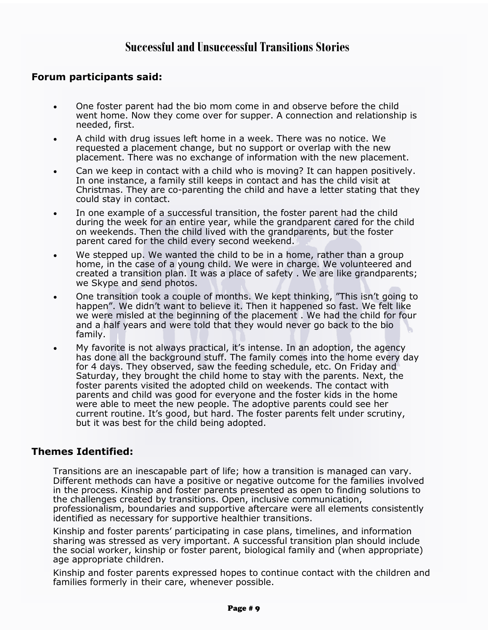### **Successful and Unsuccessful Transitions Stories**

#### **Forum participants said:**

- One foster parent had the bio mom come in and observe before the child went home. Now they come over for supper. A connection and relationship is needed, first.
- A child with drug issues left home in a week. There was no notice. We requested a placement change, but no support or overlap with the new placement. There was no exchange of information with the new placement.
- Can we keep in contact with a child who is moving? It can happen positively. In one instance, a family still keeps in contact and has the child visit at Christmas. They are co-parenting the child and have a letter stating that they could stay in contact.
- In one example of a successful transition, the foster parent had the child during the week for an entire year, while the grandparent cared for the child on weekends. Then the child lived with the grandparents, but the foster parent cared for the child every second weekend.
- We stepped up. We wanted the child to be in a home, rather than a group home, in the case of a young child. We were in charge. We volunteered and created a transition plan. It was a place of safety . We are like grandparents; we Skype and send photos.
- One transition took a couple of months. We kept thinking, "This isn't going to happen". We didn't want to believe it. Then it happened so fast. We felt like we were misled at the beginning of the placement . We had the child for four and a half years and were told that they would never go back to the bio family.
- My favorite is not always practical, it's intense. In an adoption, the agency has done all the background stuff. The family comes into the home every day for 4 days. They observed, saw the feeding schedule, etc. On Friday and Saturday, they brought the child home to stay with the parents. Next, the foster parents visited the adopted child on weekends. The contact with parents and child was good for everyone and the foster kids in the home were able to meet the new people. The adoptive parents could see her current routine. It's good, but hard. The foster parents felt under scrutiny, but it was best for the child being adopted.

#### **Themes Identified:**

Transitions are an inescapable part of life; how a transition is managed can vary. Different methods can have a positive or negative outcome for the families involved in the process. Kinship and foster parents presented as open to finding solutions to the challenges created by transitions. Open, inclusive communication, professionalism, boundaries and supportive aftercare were all elements consistently identified as necessary for supportive healthier transitions.

Kinship and foster parents' participating in case plans, timelines, and information sharing was stressed as very important. A successful transition plan should include the social worker, kinship or foster parent, biological family and (when appropriate) age appropriate children.

Kinship and foster parents expressed hopes to continue contact with the children and families formerly in their care, whenever possible.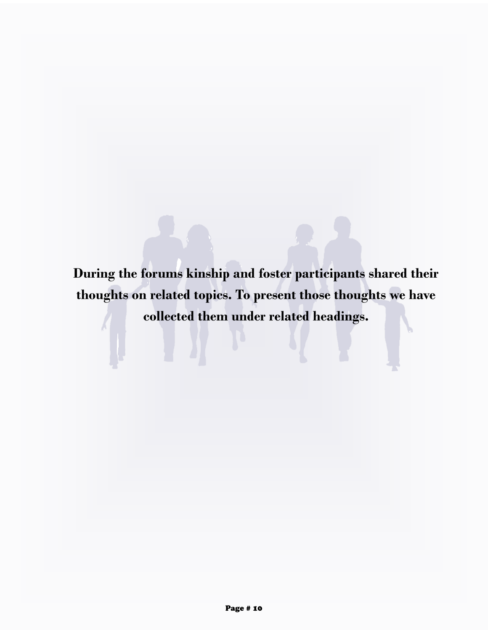**During the forums kinship and foster participants shared their thoughts on related topics. To present those thoughts we have collected them under related headings.**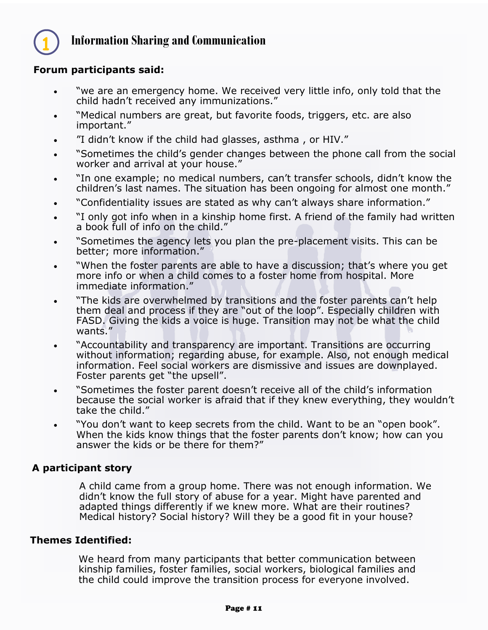

## **Information Sharing and Communication**

#### **Forum participants said:**

- "we are an emergency home. We received very little info, only told that the child hadn't received any immunizations."
- "Medical numbers are great, but favorite foods, triggers, etc. are also important."
- "I didn't know if the child had glasses, asthma , or HIV."
- "Sometimes the child's gender changes between the phone call from the social worker and arrival at your house."
- "In one example; no medical numbers, can't transfer schools, didn't know the children's last names. The situation has been ongoing for almost one month."
- "Confidentiality issues are stated as why can't always share information."
- . "I only got info when in a kinship home first. A friend of the family had written a book full of info on the child."
- "Sometimes the agency lets you plan the pre-placement visits. This can be better; more information."
- "When the foster parents are able to have a discussion; that's where you get more info or when a child comes to a foster home from hospital. More immediate information."
- "The kids are overwhelmed by transitions and the foster parents can't help them deal and process if they are "out of the loop". Especially children with FASD. Giving the kids a voice is huge. Transition may not be what the child wants."
- "Accountability and transparency are important. Transitions are occurring without information; regarding abuse, for example. Also, not enough medical information. Feel social workers are dismissive and issues are downplayed. Foster parents get "the upsell".
- "Sometimes the foster parent doesn't receive all of the child's information because the social worker is afraid that if they knew everything, they wouldn't take the child."
- "You don't want to keep secrets from the child. Want to be an "open book". When the kids know things that the foster parents don't know; how can you answer the kids or be there for them?"

#### **A participant story**

A child came from a group home. There was not enough information. We didn't know the full story of abuse for a year. Might have parented and adapted things differently if we knew more. What are their routines? Medical history? Social history? Will they be a good fit in your house?

#### **Themes Identified:**

We heard from many participants that better communication between kinship families, foster families, social workers, biological families and the child could improve the transition process for everyone involved.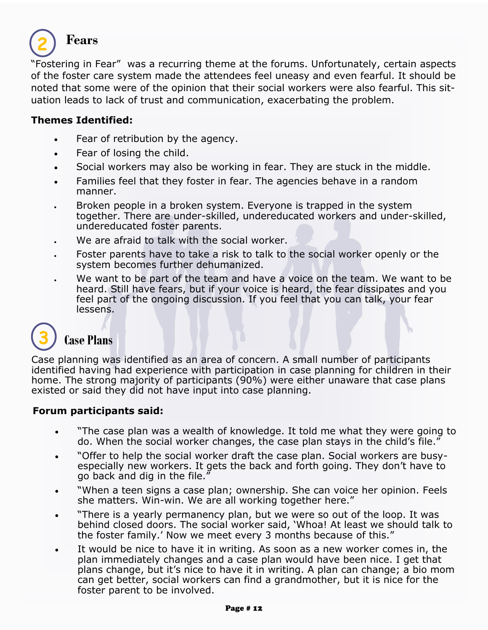

## **Fears**

"Fostering in Fear" was a recurring theme at the forums. Unfortunately, certain aspects of the foster care system made the attendees feel uneasy and even fearful. It should be noted that some were of the opinion that their social workers were also fearful. This situation leads to lack of trust and communication, exacerbating the problem.

#### **Themes Identified:**

- Fear of retribution by the agency.
- Fear of losing the child.
- Social workers may also be working in fear. They are stuck in the middle.
- Families feel that they foster in fear. The agencies behave in a random manner.
- . Broken people in a broken system. Everyone is trapped in the system together. There are under-skilled, undereducated workers and under-skilled, undereducated foster parents.
- We are afraid to talk with the social worker.
- Foster parents have to take a risk to talk to the social worker openly or the system becomes further dehumanized.
- We want to be part of the team and have a voice on the team. We want to be heard. Still have fears, but if your voice is heard, the fear dissipates and you feel part of the ongoing discussion. If you feel that you can talk, your fear lessens.

# **3**

### **Case Plans**

Case planning was identified as an area of concern. A small number of participants identified having had experience with participation in case planning for children in their home. The strong majority of participants (90%) were either unaware that case plans existed or said they did not have input into case planning.

#### **Forum participants said:**

- "The case plan was a wealth of knowledge. It told me what they were going to do. When the social worker changes, the case plan stays in the child's file."
- "Offer to help the social worker draft the case plan. Social workers are busyespecially new workers. It gets the back and forth going. They don't have to go back and dig in the file."
- "When a teen signs a case plan; ownership. She can voice her opinion. Feels she matters. Win-win. We are all working together here."
- "There is a yearly permanency plan, but we were so out of the loop. It was behind closed doors. The social worker said, 'Whoa! At least we should talk to the foster family.' Now we meet every 3 months because of this."
- It would be nice to have it in writing. As soon as a new worker comes in, the plan immediately changes and a case plan would have been nice. I get that plans change, but it's nice to have it in writing. A plan can change; a bio mom can get better, social workers can find a grandmother, but it is nice for the foster parent to be involved.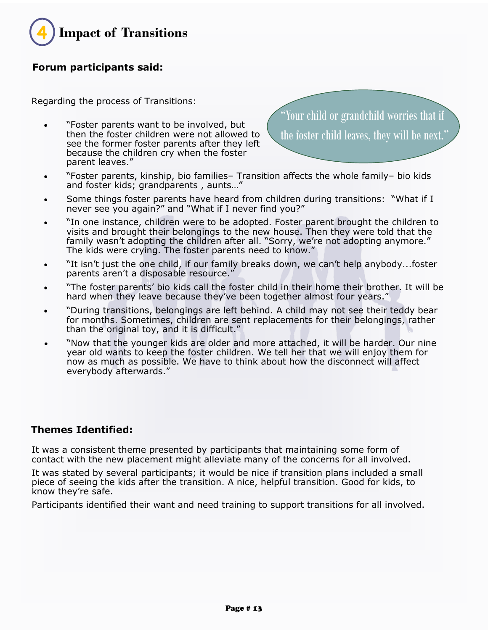

#### **Forum participants said:**

Regarding the process of Transitions:

 "Foster parents want to be involved, but then the foster children were not allowed to see the former foster parents after they left because the children cry when the foster parent leaves."

"Your child or grandchild worries that if the foster child leaves, they will be next."

- "Foster parents, kinship, bio families– Transition affects the whole family– bio kids and foster kids; grandparents , aunts…"
- Some things foster parents have heard from children during transitions: "What if I never see you again?" and "What if I never find you?"
- "In one instance, children were to be adopted. Foster parent brought the children to visits and brought their belongings to the new house. Then they were told that the family wasn't adopting the children after all. "Sorry, we're not adopting anymore." The kids were crying. The foster parents need to know."
- "It isn't just the one child, if our family breaks down, we can't help anybody...foster parents aren't a disposable resource."
- "The foster parents' bio kids call the foster child in their home their brother. It will be hard when they leave because they've been together almost four years."
- "During transitions, belongings are left behind. A child may not see their teddy bear for months. Sometimes, children are sent replacements for their belongings, rather than the original toy, and it is difficult."
- "Now that the younger kids are older and more attached, it will be harder. Our nine year old wants to keep the foster children. We tell her that we will enjoy them for now as much as possible. We have to think about how the disconnect will affect everybody afterwards."

#### **Themes Identified:**

It was a consistent theme presented by participants that maintaining some form of contact with the new placement might alleviate many of the concerns for all involved.

It was stated by several participants; it would be nice if transition plans included a small piece of seeing the kids after the transition. A nice, helpful transition. Good for kids, to know they're safe.

Participants identified their want and need training to support transitions for all involved.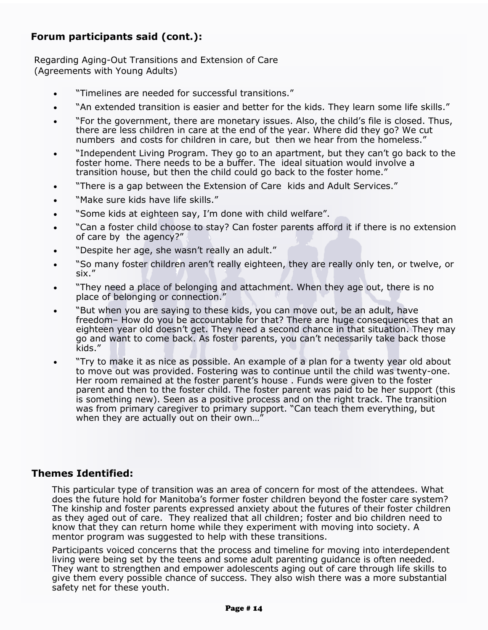#### **Forum participants said (cont.):**

Regarding Aging-Out Transitions and Extension of Care (Agreements with Young Adults)

- "Timelines are needed for successful transitions."
- "An extended transition is easier and better for the kids. They learn some life skills."
- "For the government, there are monetary issues. Also, the child's file is closed. Thus, there are less children in care at the end of the year. Where did they go? We cut numbers and costs for children in care, but then we hear from the homeless."
- "Independent Living Program. They go to an apartment, but they can't go back to the foster home. There needs to be a buffer. The ideal situation would involve a transition house, but then the child could go back to the foster home."
- "There is a gap between the Extension of Care kids and Adult Services."
- "Make sure kids have life skills."
- "Some kids at eighteen say, I'm done with child welfare".
- "Can a foster child choose to stay? Can foster parents afford it if there is no extension of care by the agency?"
- "Despite her age, she wasn't really an adult."
- "So many foster children aren't really eighteen, they are really only ten, or twelve, or six."
- "They need a place of belonging and attachment. When they age out, there is no place of belonging or connection."
- "But when you are saying to these kids, you can move out, be an adult, have freedom– How do you be accountable for that? There are huge consequences that an eighteen year old doesn't get. They need a second chance in that situation. They may go and want to come back. As foster parents, you can't necessarily take back those kids."
- "Try to make it as nice as possible. An example of a plan for a twenty year old about to move out was provided. Fostering was to continue until the child was twenty-one. Her room remained at the foster parent's house . Funds were given to the foster parent and then to the foster child. The foster parent was paid to be her support (this is something new). Seen as a positive process and on the right track. The transition was from primary caregiver to primary support. "Can teach them everything, but when they are actually out on their own...'

#### **Themes Identified:**

This particular type of transition was an area of concern for most of the attendees. What does the future hold for Manitoba's former foster children beyond the foster care system? The kinship and foster parents expressed anxiety about the futures of their foster children as they aged out of care. They realized that all children; foster and bio children need to know that they can return home while they experiment with moving into society. A mentor program was suggested to help with these transitions.

Participants voiced concerns that the process and timeline for moving into interdependent living were being set by the teens and some adult parenting guidance is often needed. They want to strengthen and empower adolescents aging out of care through life skills to give them every possible chance of success. They also wish there was a more substantial safety net for these youth.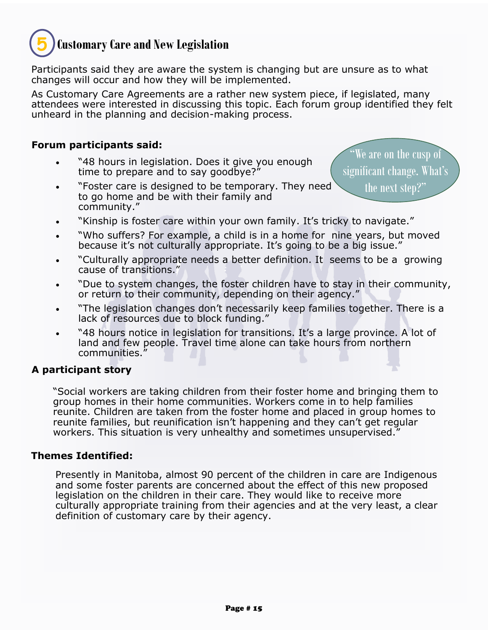## **Customary Care and New Legislation 5**

Participants said they are aware the system is changing but are unsure as to what changes will occur and how they will be implemented.

As Customary Care Agreements are a rather new system piece, if legislated, many attendees were interested in discussing this topic. Each forum group identified they felt unheard in the planning and decision-making process.

#### **Forum participants said:**

- "48 hours in legislation. Does it give you enough time to prepare and to say goodbye?"
- "Foster care is designed to be temporary. They need to go home and be with their family and community."

"We are on the cusp of significant change. What's the next step?"

- "Kinship is foster care within your own family. It's tricky to navigate."
- "Who suffers? For example, a child is in a home for nine years, but moved because it's not culturally appropriate. It's going to be a big issue."
- "Culturally appropriate needs a better definition. It seems to be a growing cause of transitions."
- "Due to system changes, the foster children have to stay in their community, or return to their community, depending on their agency."
- "The legislation changes don't necessarily keep families together. There is a lack of resources due to block funding."
- "48 hours notice in legislation for transitions. It's a large province. A lot of land and few people. Travel time alone can take hours from northern communities."

#### **A participant story**

"Social workers are taking children from their foster home and bringing them to group homes in their home communities. Workers come in to help families reunite. Children are taken from the foster home and placed in group homes to reunite families, but reunification isn't happening and they can't get regular workers. This situation is very unhealthy and sometimes unsupervised."

#### **Themes Identified:**

Presently in Manitoba, almost 90 percent of the children in care are Indigenous and some foster parents are concerned about the effect of this new proposed legislation on the children in their care. They would like to receive more culturally appropriate training from their agencies and at the very least, a clear definition of customary care by their agency.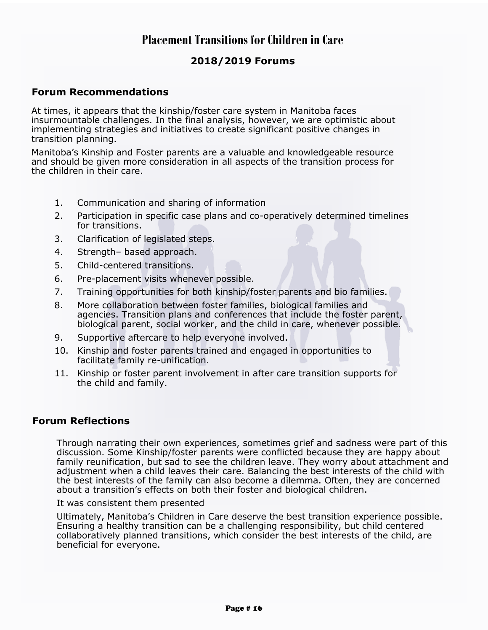## **Placement Transitions for Children in Care**

#### **2018/2019 Forums**

#### **Forum Recommendations**

At times, it appears that the kinship/foster care system in Manitoba faces insurmountable challenges. In the final analysis, however, we are optimistic about implementing strategies and initiatives to create significant positive changes in transition planning.

Manitoba's Kinship and Foster parents are a valuable and knowledgeable resource and should be given more consideration in all aspects of the transition process for the children in their care.

- 1. Communication and sharing of information
- 2. Participation in specific case plans and co-operatively determined timelines for transitions.
- 3. Clarification of legislated steps.
- 4. Strength– based approach.
- 5. Child-centered transitions.
- 6. Pre-placement visits whenever possible.
- 7. Training opportunities for both kinship/foster parents and bio families.
- 8. More collaboration between foster families, biological families and agencies. Transition plans and conferences that include the foster parent, biological parent, social worker, and the child in care, whenever possible.
- 9. Supportive aftercare to help everyone involved.
- 10. Kinship and foster parents trained and engaged in opportunities to facilitate family re-unification.
- 11. Kinship or foster parent involvement in after care transition supports for the child and family.

#### **Forum Reflections**

Through narrating their own experiences, sometimes grief and sadness were part of this discussion. Some Kinship/foster parents were conflicted because they are happy about family reunification, but sad to see the children leave. They worry about attachment and adjustment when a child leaves their care. Balancing the best interests of the child with the best interests of the family can also become a dilemma. Often, they are concerned about a transition's effects on both their foster and biological children.

It was consistent them presented

Ultimately, Manitoba's Children in Care deserve the best transition experience possible. Ensuring a healthy transition can be a challenging responsibility, but child centered collaboratively planned transitions, which consider the best interests of the child, are beneficial for everyone.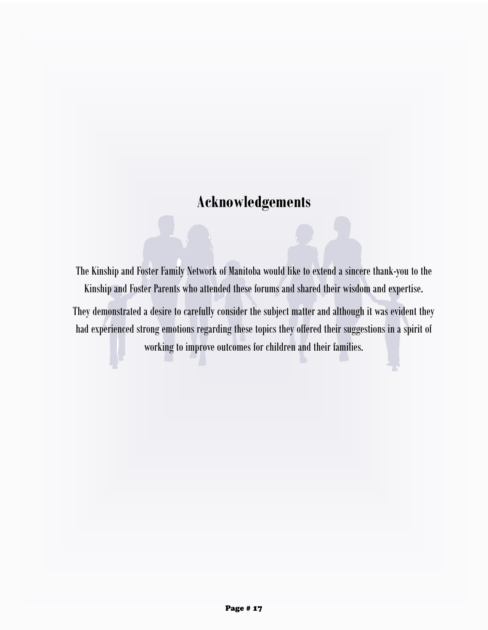# **Acknowledgements**

The Kinship and Foster Family Network of Manitoba would like to extend a sincere thank-you to the Kinship and Foster Parents who attended these forums and shared their wisdom and expertise.

They demonstrated a desire to carefully consider the subject matter and although it was evident they had experienced strong emotions regarding these topics they offered their suggestions in a spirit of working to improve outcomes for children and their families.